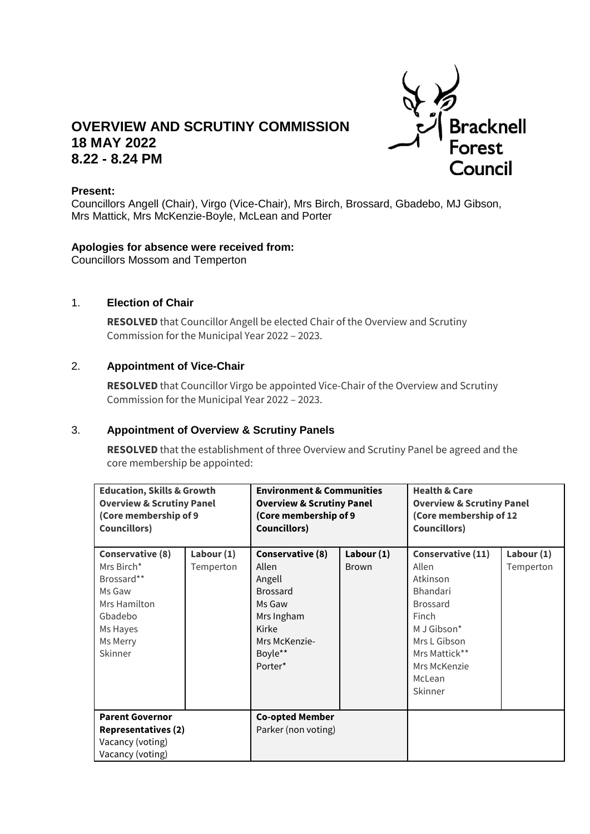

# **OVERVIEW AND SCRUTINY COMMISSION 18 MAY 2022 8.22 - 8.24 PM**

#### **Present:**

Councillors Angell (Chair), Virgo (Vice-Chair), Mrs Birch, Brossard, Gbadebo, MJ Gibson, Mrs Mattick, Mrs McKenzie-Boyle, McLean and Porter

#### **Apologies for absence were received from:**

Councillors Mossom and Temperton

#### 1. **Election of Chair**

**RESOLVED** that Councillor Angell be elected Chair of the Overview and Scrutiny Commission for the Municipal Year 2022 – 2023.

## 2. **Appointment of Vice-Chair**

**RESOLVED** that Councillor Virgo be appointed Vice-Chair of the Overview and Scrutiny Commission for the Municipal Year 2022 – 2023.

### 3. **Appointment of Overview & Scrutiny Panels**

**RESOLVED** that the establishment of three Overview and Scrutiny Panel be agreed and the core membership be appointed:

| <b>Education, Skills &amp; Growth</b><br><b>Overview &amp; Scrutiny Panel</b><br>(Core membership of 9<br><b>Councillors)</b> |                           | <b>Environment &amp; Communities</b><br><b>Overview &amp; Scrutiny Panel</b><br>(Core membership of 9<br><b>Councillors)</b> |                            | <b>Health &amp; Care</b><br><b>Overview &amp; Scrutiny Panel</b><br>(Core membership of 12<br><b>Councillors)</b>                     |                         |
|-------------------------------------------------------------------------------------------------------------------------------|---------------------------|------------------------------------------------------------------------------------------------------------------------------|----------------------------|---------------------------------------------------------------------------------------------------------------------------------------|-------------------------|
| Conservative (8)<br>Mrs Birch*<br>Brossard**<br>Ms Gaw<br>Mrs Hamilton<br>Gbadebo<br>Ms Hayes<br>Ms Merry<br>Skinner          | Labour $(1)$<br>Temperton | Conservative (8)<br>Allen<br>Angell<br><b>Brossard</b><br>Ms Gaw<br>Mrs Ingham<br>Kirke<br>Mrs McKenzie-<br>Boyle**          | Labour (1)<br><b>Brown</b> | Conservative (11)<br>Allen<br>Atkinson<br><b>Bhandari</b><br><b>Brossard</b><br>Finch<br>M J Gibson*<br>Mrs L Gibson<br>Mrs Mattick** | Labour (1)<br>Temperton |
| <b>Parent Governor</b><br><b>Representatives (2)</b><br>Vacancy (voting)<br>Vacancy (voting)                                  |                           | Porter*<br><b>Co-opted Member</b><br>Parker (non voting)                                                                     |                            | Mrs McKenzie<br>McLean<br>Skinner                                                                                                     |                         |